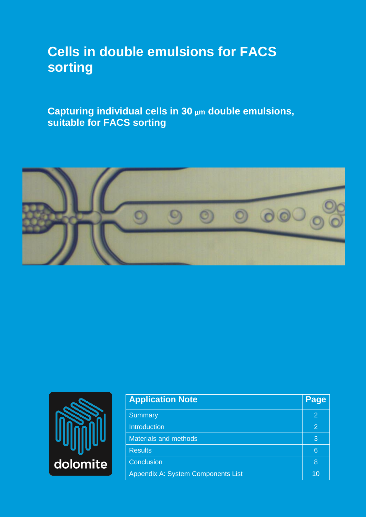# **Cells in double emulsions for FACS sorting**

**Capturing individual cells in 30 m double emulsions, suitable for FACS sorting**





| <b>Application Note</b>            | Page |
|------------------------------------|------|
| <b>Summary</b>                     | 2    |
| <b>Introduction</b>                | 2    |
| <b>Materials and methods</b>       | 3    |
| <b>Results</b>                     | 6    |
| Conclusion                         | 8    |
| Appendix A: System Components List | 10   |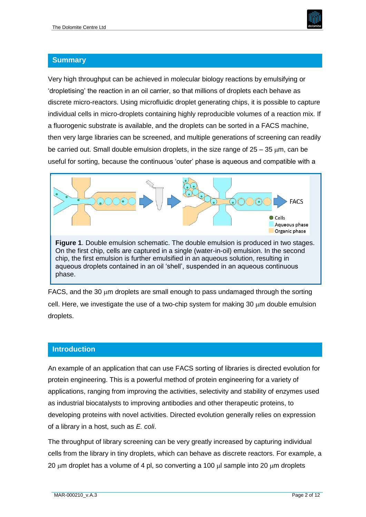

#### **Summary**

Very high throughput can be achieved in molecular biology reactions by emulsifying or 'dropletising' the reaction in an oil carrier, so that millions of droplets each behave as discrete micro-reactors. Using microfluidic droplet generating chips, it is possible to capture individual cells in micro-droplets containing highly reproducible volumes of a reaction mix. If a fluorogenic substrate is available, and the droplets can be sorted in a FACS machine, then very large libraries can be screened, and multiple generations of screening can readily be carried out. Small double emulsion droplets, in the size range of  $25 - 35$   $\mu$ m, can be useful for sorting, because the continuous 'outer' phase is aqueous and compatible with a



FACS, and the 30  $\mu$ m droplets are small enough to pass undamaged through the sorting cell. Here, we investigate the use of a two-chip system for making 30  $\mu$ m double emulsion droplets.

## **Introduction**

An example of an application that can use FACS sorting of libraries is directed evolution for protein engineering. This is a powerful method of protein engineering for a variety of applications, ranging from improving the activities, selectivity and stability of enzymes used as industrial biocatalysts to improving antibodies and other therapeutic proteins, to developing proteins with novel activities. Directed evolution generally relies on expression of a library in a host, such as *E. coli*.

The throughput of library screening can be very greatly increased by capturing individual cells from the library in tiny droplets, which can behave as discrete reactors. For example, a 20  $\mu$ m droplet has a volume of 4 pl, so converting a 100  $\mu$ l sample into 20  $\mu$ m droplets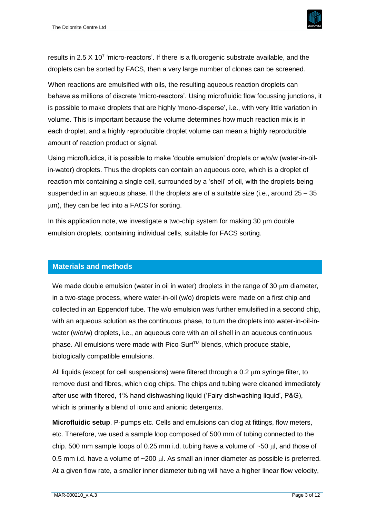

results in 2.5 X 10<sup>7</sup> 'micro-reactors'. If there is a fluorogenic substrate available, and the droplets can be sorted by FACS, then a very large number of clones can be screened.

When reactions are emulsified with oils, the resulting aqueous reaction droplets can behave as millions of discrete 'micro-reactors'. Using microfluidic flow focussing junctions, it is possible to make droplets that are highly 'mono-disperse', i.e., with very little variation in volume. This is important because the volume determines how much reaction mix is in each droplet, and a highly reproducible droplet volume can mean a highly reproducible amount of reaction product or signal.

Using microfluidics, it is possible to make 'double emulsion' droplets or w/o/w (water-in-oilin-water) droplets. Thus the droplets can contain an aqueous core, which is a droplet of reaction mix containing a single cell, surrounded by a 'shell' of oil, with the droplets being suspended in an aqueous phase. If the droplets are of a suitable size (i.e., around 25 – 35 um), they can be fed into a FACS for sorting.

In this application note, we investigate a two-chip system for making 30  $\mu$ m double emulsion droplets, containing individual cells, suitable for FACS sorting.

#### **Materials and methods**

We made double emulsion (water in oil in water) droplets in the range of 30 um diameter. in a two-stage process, where water-in-oil (w/o) droplets were made on a first chip and collected in an Eppendorf tube. The w/o emulsion was further emulsified in a second chip, with an aqueous solution as the continuous phase, to turn the droplets into water-in-oil-inwater (w/o/w) droplets, i.e., an aqueous core with an oil shell in an aqueous continuous phase. All emulsions were made with Pico-Surf™ blends, which produce stable, biologically compatible emulsions.

All liquids (except for cell suspensions) were filtered through a  $0.2 \mu m$  syringe filter, to remove dust and fibres, which clog chips. The chips and tubing were cleaned immediately after use with filtered, 1% hand dishwashing liquid ('Fairy dishwashing liquid', P&G), which is primarily a blend of ionic and anionic detergents.

**Microfluidic setup**. P-pumps etc. Cells and emulsions can clog at fittings, flow meters, etc. Therefore, we used a sample loop composed of 500 mm of tubing connected to the chip. 500 mm sample loops of 0.25 mm i.d. tubing have a volume of  $\sim$  50  $\mu$ l, and those of 0.5 mm i.d. have a volume of  $\sim$ 200 µl. As small an inner diameter as possible is preferred. At a given flow rate, a smaller inner diameter tubing will have a higher linear flow velocity,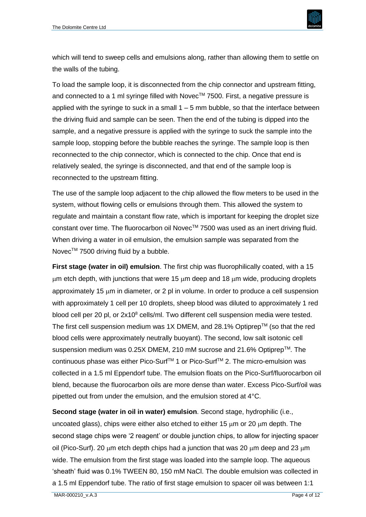

which will tend to sweep cells and emulsions along, rather than allowing them to settle on the walls of the tubing.

To load the sample loop, it is disconnected from the chip connector and upstream fitting, and connected to a 1 ml syringe filled with Novec™ 7500. First, a negative pressure is applied with the syringe to suck in a small  $1 - 5$  mm bubble, so that the interface between the driving fluid and sample can be seen. Then the end of the tubing is dipped into the sample, and a negative pressure is applied with the syringe to suck the sample into the sample loop, stopping before the bubble reaches the syringe. The sample loop is then reconnected to the chip connector, which is connected to the chip. Once that end is relatively sealed, the syringe is disconnected, and that end of the sample loop is reconnected to the upstream fitting.

The use of the sample loop adjacent to the chip allowed the flow meters to be used in the system, without flowing cells or emulsions through them. This allowed the system to regulate and maintain a constant flow rate, which is important for keeping the droplet size constant over time. The fluorocarbon oil Novec™ 7500 was used as an inert driving fluid. When driving a water in oil emulsion, the emulsion sample was separated from the Novec™ 7500 driving fluid by a bubble.

**First stage (water in oil) emulsion**. The first chip was fluorophilically coated, with a 15  $\mu$ m etch depth, with junctions that were 15  $\mu$ m deep and 18  $\mu$ m wide, producing droplets approximately 15  $\mu$ m in diameter, or 2 pl in volume. In order to produce a cell suspension with approximately 1 cell per 10 droplets, sheep blood was diluted to approximately 1 red blood cell per 20 pl, or 2x10<sup>8</sup> cells/ml. Two different cell suspension media were tested. The first cell suspension medium was 1X DMEM, and 28.1% Optiprep<sup>TM</sup> (so that the red blood cells were approximately neutrally buoyant). The second, low salt isotonic cell suspension medium was  $0.25X$  DMEM, 210 mM sucrose and 21.6% Optiprep<sup>TM</sup>. The continuous phase was either Pico-Surf™ 1 or Pico-Surf™ 2. The micro-emulsion was collected in a 1.5 ml Eppendorf tube. The emulsion floats on the Pico-Surf/fluorocarbon oil blend, because the fluorocarbon oils are more dense than water. Excess Pico-Surf/oil was pipetted out from under the emulsion, and the emulsion stored at 4°C.

**Second stage (water in oil in water) emulsion**. Second stage, hydrophilic (i.e., uncoated glass), chips were either also etched to either 15  $\mu$ m or 20  $\mu$ m depth. The second stage chips were '2 reagent' or double junction chips, to allow for injecting spacer oil (Pico-Surf). 20  $\mu$ m etch depth chips had a junction that was 20  $\mu$ m deep and 23  $\mu$ m wide. The emulsion from the first stage was loaded into the sample loop. The aqueous 'sheath' fluid was 0.1% TWEEN 80, 150 mM NaCl. The double emulsion was collected in a 1.5 ml Eppendorf tube. The ratio of first stage emulsion to spacer oil was between 1:1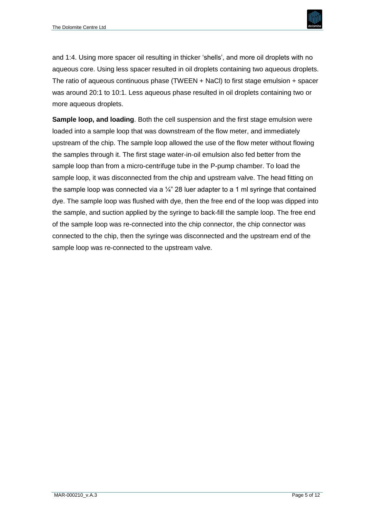

and 1:4. Using more spacer oil resulting in thicker 'shells', and more oil droplets with no aqueous core. Using less spacer resulted in oil droplets containing two aqueous droplets. The ratio of aqueous continuous phase (TWEEN + NaCl) to first stage emulsion + spacer was around 20:1 to 10:1. Less aqueous phase resulted in oil droplets containing two or more aqueous droplets.

**Sample loop, and loading**. Both the cell suspension and the first stage emulsion were loaded into a sample loop that was downstream of the flow meter, and immediately upstream of the chip. The sample loop allowed the use of the flow meter without flowing the samples through it. The first stage water-in-oil emulsion also fed better from the sample loop than from a micro-centrifuge tube in the P-pump chamber. To load the sample loop, it was disconnected from the chip and upstream valve. The head fitting on the sample loop was connected via a  $\frac{1}{4}$  28 luer adapter to a 1 ml syringe that contained dye. The sample loop was flushed with dye, then the free end of the loop was dipped into the sample, and suction applied by the syringe to back-fill the sample loop. The free end of the sample loop was re-connected into the chip connector, the chip connector was connected to the chip, then the syringe was disconnected and the upstream end of the sample loop was re-connected to the upstream valve.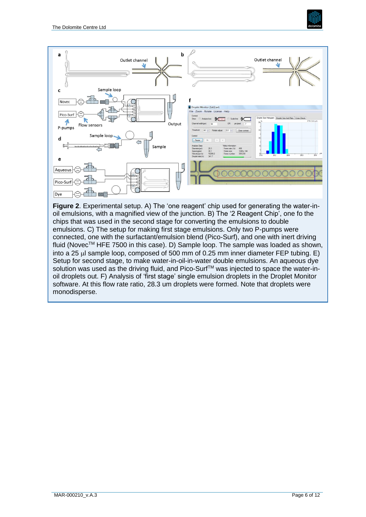



solution was used as the driving fluid, and Pico-Surf<sup>TM</sup> was injected to space the water-inoil droplets out. F) Analysis of 'first stage' single emulsion droplets in the Droplet Monitor software. At this flow rate ratio, 28.3 um droplets were formed. Note that droplets were monodisperse.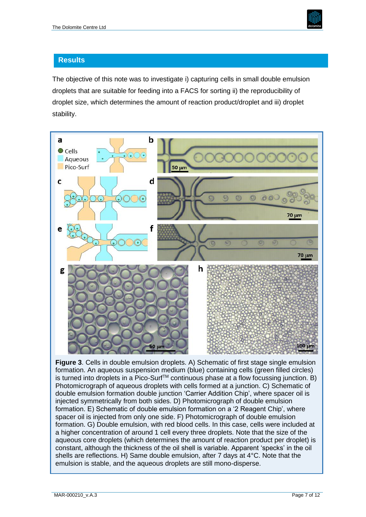

### **Results**

The objective of this note was to investigate i) capturing cells in small double emulsion droplets that are suitable for feeding into a FACS for sorting ii) the reproducibility of droplet size, which determines the amount of reaction product/droplet and iii) droplet stability.



**Figure 3**. Cells in double emulsion droplets. A) Schematic of first stage single emulsion formation. An aqueous suspension medium (blue) containing cells (green filled circles) is turned into droplets in a Pico-Surf™ continuous phase at a flow focussing junction. B) Photomicrograph of aqueous droplets with cells formed at a junction. C) Schematic of double emulsion formation double junction 'Carrier Addition Chip', where spacer oil is injected symmetrically from both sides. D) Photomicrograph of double emulsion formation. E) Schematic of double emulsion formation on a '2 Reagent Chip', where spacer oil is injected from only one side. F) Photomicrograph of double emulsion formation. G) Double emulsion, with red blood cells. In this case, cells were included at a higher concentration of around 1 cell every three droplets. Note that the size of the aqueous core droplets (which determines the amount of reaction product per droplet) is constant, although the thickness of the oil shell is variable. Apparent 'specks' in the oil shells are reflections. H) Same double emulsion, after 7 days at 4°C. Note that the emulsion is stable, and the aqueous droplets are still mono-disperse.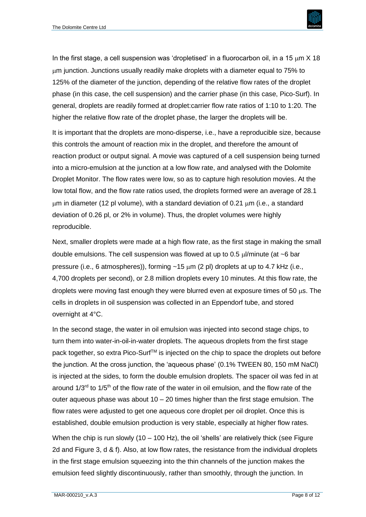

In the first stage, a cell suspension was 'dropletised' in a fluorocarbon oil, in a 15  $\mu$ m X 18 m junction. Junctions usually readily make droplets with a diameter equal to 75% to 125% of the diameter of the junction, depending of the relative flow rates of the droplet phase (in this case, the cell suspension) and the carrier phase (in this case, Pico-Surf). In general, droplets are readily formed at droplet:carrier flow rate ratios of 1:10 to 1:20. The higher the relative flow rate of the droplet phase, the larger the droplets will be.

It is important that the droplets are mono-disperse, i.e., have a reproducible size, because this controls the amount of reaction mix in the droplet, and therefore the amount of reaction product or output signal. A movie was captured of a cell suspension being turned into a micro-emulsion at the junction at a low flow rate, and analysed with the Dolomite Droplet Monitor. The flow rates were low, so as to capture high resolution movies. At the low total flow, and the flow rate ratios used, the droplets formed were an average of 28.1 m in diameter (12 pl volume), with a standard deviation of 0.21 m (i.e., a standard deviation of 0.26 pl, or 2% in volume). Thus, the droplet volumes were highly reproducible.

Next, smaller droplets were made at a high flow rate, as the first stage in making the small double emulsions. The cell suspension was flowed at up to 0.5  $\mu$ /minute (at ~6 bar pressure (i.e., 6 atmospheres)), forming  $\sim$ 15  $\mu$ m (2 pl) droplets at up to 4.7 kHz (i.e., 4,700 droplets per second), or 2.8 million droplets every 10 minutes. At this flow rate, the droplets were moving fast enough they were blurred even at exposure times of 50  $\mu$ s. The cells in droplets in oil suspension was collected in an Eppendorf tube, and stored overnight at 4°C.

In the second stage, the water in oil emulsion was injected into second stage chips, to turn them into water-in-oil-in-water droplets. The aqueous droplets from the first stage pack together, so extra Pico-Surf™ is injected on the chip to space the droplets out before the junction. At the cross junction, the 'aqueous phase' (0.1% TWEEN 80, 150 mM NaCl) is injected at the sides, to form the double emulsion droplets. The spacer oil was fed in at around  $1/3<sup>rd</sup>$  to  $1/5<sup>th</sup>$  of the flow rate of the water in oil emulsion, and the flow rate of the outer aqueous phase was about  $10 - 20$  times higher than the first stage emulsion. The flow rates were adjusted to get one aqueous core droplet per oil droplet. Once this is established, double emulsion production is very stable, especially at higher flow rates.

When the chip is run slowly  $(10 - 100 \text{ Hz})$ , the oil 'shells' are relatively thick (see Figure 2d and Figure 3, d & f). Also, at low flow rates, the resistance from the individual droplets in the first stage emulsion squeezing into the thin channels of the junction makes the emulsion feed slightly discontinuously, rather than smoothly, through the junction. In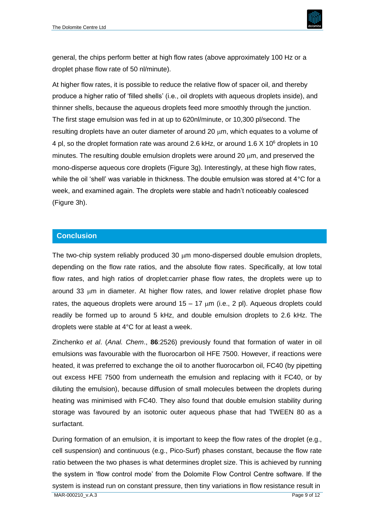

general, the chips perform better at high flow rates (above approximately 100 Hz or a droplet phase flow rate of 50 nl/minute).

At higher flow rates, it is possible to reduce the relative flow of spacer oil, and thereby produce a higher ratio of 'filled shells' (i.e., oil droplets with aqueous droplets inside), and thinner shells, because the aqueous droplets feed more smoothly through the junction. The first stage emulsion was fed in at up to 620nl/minute, or 10,300 pl/second. The resulting droplets have an outer diameter of around 20  $\mu$ m, which equates to a volume of 4 pl, so the droplet formation rate was around 2.6 kHz, or around 1.6 X 10<sup>6</sup> droplets in 10 minutes. The resulting double emulsion droplets were around 20  $\mu$ m, and preserved the mono-disperse aqueous core droplets (Figure 3g). Interestingly, at these high flow rates, while the oil 'shell' was variable in thickness. The double emulsion was stored at 4°C for a week, and examined again. The droplets were stable and hadn't noticeably coalesced (Figure 3h).

#### **Conclusion**

The two-chip system reliably produced 30  $\mu$ m mono-dispersed double emulsion droplets, depending on the flow rate ratios, and the absolute flow rates. Specifically, at low total flow rates, and high ratios of droplet:carrier phase flow rates, the droplets were up to around 33  $\mu$ m in diameter. At higher flow rates, and lower relative droplet phase flow rates, the aqueous droplets were around  $15 - 17$   $\mu$ m (i.e., 2 pl). Aqueous droplets could readily be formed up to around 5 kHz, and double emulsion droplets to 2.6 kHz. The droplets were stable at 4°C for at least a week.

Zinchenko *et al*. (*Anal. Chem*., **86**:2526) previously found that formation of water in oil emulsions was favourable with the fluorocarbon oil HFE 7500. However, if reactions were heated, it was preferred to exchange the oil to another fluorocarbon oil, FC40 (by pipetting out excess HFE 7500 from underneath the emulsion and replacing with it FC40, or by diluting the emulsion), because diffusion of small molecules between the droplets during heating was minimised with FC40. They also found that double emulsion stability during storage was favoured by an isotonic outer aqueous phase that had TWEEN 80 as a surfactant.

During formation of an emulsion, it is important to keep the flow rates of the droplet (e.g., cell suspension) and continuous (e.g., Pico-Surf) phases constant, because the flow rate ratio between the two phases is what determines droplet size. This is achieved by running the system in 'flow control mode' from the Dolomite Flow Control Centre software. If the system is instead run on constant pressure, then tiny variations in flow resistance result in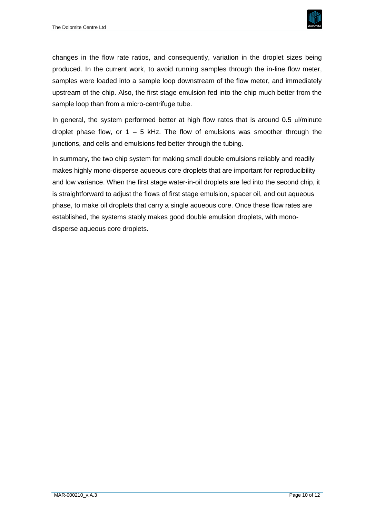

changes in the flow rate ratios, and consequently, variation in the droplet sizes being produced. In the current work, to avoid running samples through the in-line flow meter, samples were loaded into a sample loop downstream of the flow meter, and immediately upstream of the chip. Also, the first stage emulsion fed into the chip much better from the sample loop than from a micro-centrifuge tube.

In general, the system performed better at high flow rates that is around  $0.5 \mu$ /minute droplet phase flow, or  $1 - 5$  kHz. The flow of emulsions was smoother through the junctions, and cells and emulsions fed better through the tubing.

In summary, the two chip system for making small double emulsions reliably and readily makes highly mono-disperse aqueous core droplets that are important for reproducibility and low variance. When the first stage water-in-oil droplets are fed into the second chip, it is straightforward to adjust the flows of first stage emulsion, spacer oil, and out aqueous phase, to make oil droplets that carry a single aqueous core. Once these flow rates are established, the systems stably makes good double emulsion droplets, with monodisperse aqueous core droplets.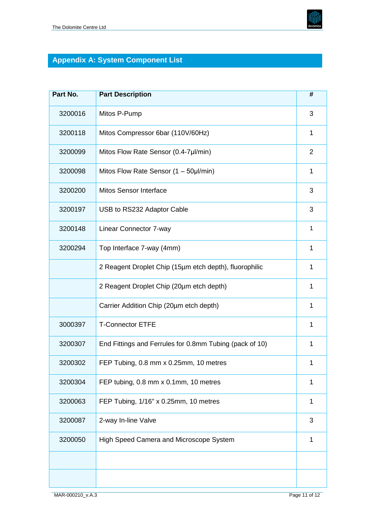

# **Appendix A: System Component List**

| Part No. | <b>Part Description</b>                                 | #              |
|----------|---------------------------------------------------------|----------------|
| 3200016  | Mitos P-Pump                                            | 3              |
| 3200118  | Mitos Compressor 6bar (110V/60Hz)                       | 1              |
| 3200099  | Mitos Flow Rate Sensor (0.4-7µl/min)                    | $\overline{2}$ |
| 3200098  | Mitos Flow Rate Sensor (1 - 50µl/min)                   | 1              |
| 3200200  | <b>Mitos Sensor Interface</b>                           | 3              |
| 3200197  | USB to RS232 Adaptor Cable                              | 3              |
| 3200148  | Linear Connector 7-way                                  | 1              |
| 3200294  | Top Interface 7-way (4mm)                               | 1              |
|          | 2 Reagent Droplet Chip (15µm etch depth), fluorophilic  | 1              |
|          | 2 Reagent Droplet Chip (20µm etch depth)                | 1              |
|          | Carrier Addition Chip (20µm etch depth)                 | 1              |
| 3000397  | <b>T-Connector ETFE</b>                                 | 1              |
| 3200307  | End Fittings and Ferrules for 0.8mm Tubing (pack of 10) | 1              |
| 3200302  | FEP Tubing, 0.8 mm x 0.25mm, 10 metres                  | 1              |
| 3200304  | FEP tubing, 0.8 mm x 0.1mm, 10 metres                   | 1              |
| 3200063  | FEP Tubing, 1/16" x 0.25mm, 10 metres                   | 1              |
| 3200087  | 2-way In-line Valve                                     | 3              |
| 3200050  | High Speed Camera and Microscope System                 | 1              |
|          |                                                         |                |
|          |                                                         |                |